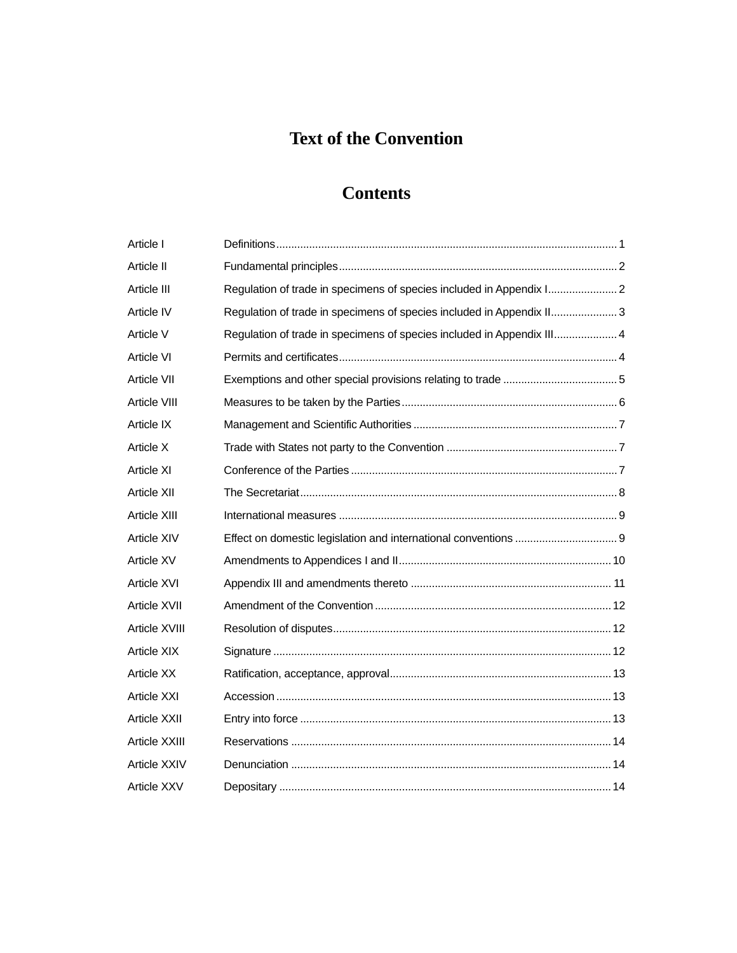# **Text of the Convention**

# **Contents**

| Article I           |                                                                        |  |
|---------------------|------------------------------------------------------------------------|--|
| Article II          |                                                                        |  |
| Article III         |                                                                        |  |
| Article IV          | Regulation of trade in specimens of species included in Appendix II3   |  |
| Article V           | Regulation of trade in specimens of species included in Appendix III 4 |  |
| <b>Article VI</b>   |                                                                        |  |
| Article VII         |                                                                        |  |
| Article VIII        |                                                                        |  |
| Article IX          |                                                                        |  |
| Article X           |                                                                        |  |
| Article XI          |                                                                        |  |
| <b>Article XII</b>  |                                                                        |  |
| <b>Article XIII</b> |                                                                        |  |
| Article XIV         |                                                                        |  |
| <b>Article XV</b>   |                                                                        |  |
| <b>Article XVI</b>  |                                                                        |  |
| Article XVII        |                                                                        |  |
| Article XVIII       |                                                                        |  |
| Article XIX         |                                                                        |  |
| Article XX          |                                                                        |  |
| <b>Article XXI</b>  |                                                                        |  |
| Article XXII        |                                                                        |  |
| Article XXIII       |                                                                        |  |
| <b>Article XXIV</b> |                                                                        |  |
| <b>Article XXV</b>  |                                                                        |  |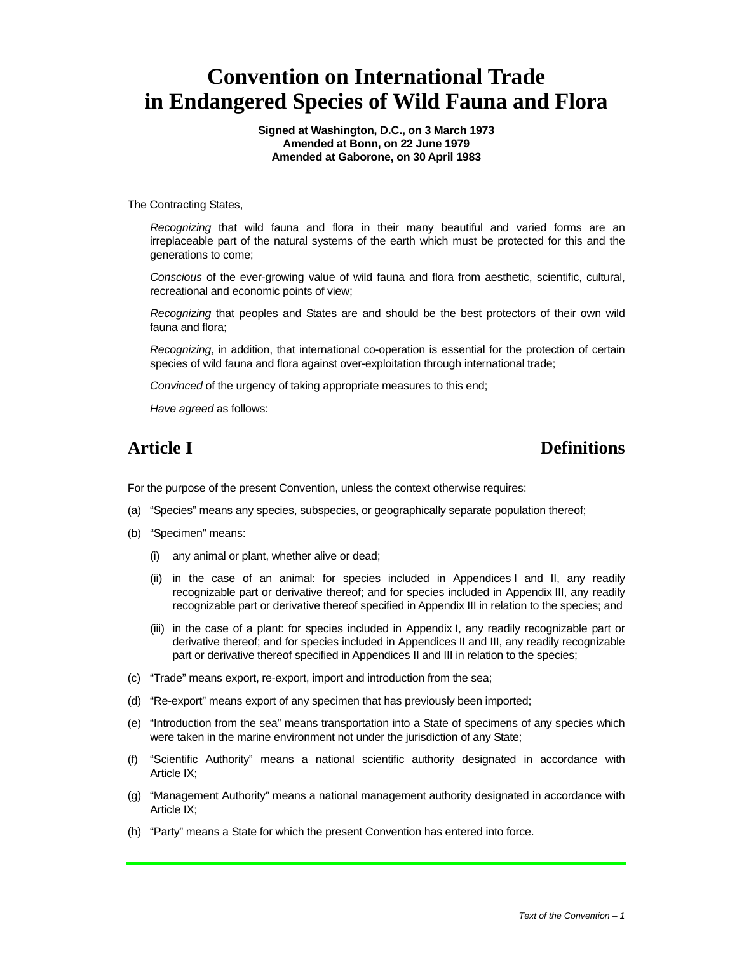# **Convention on International Trade in Endangered Species of Wild Fauna and Flora**

### **Signed at Washington, D.C., on 3 March 1973 Amended at Bonn, on 22 June 1979 Amended at Gaborone, on 30 April 1983**

The Contracting States,

 *Recognizing* that wild fauna and flora in their many beautiful and varied forms are an irreplaceable part of the natural systems of the earth which must be protected for this and the generations to come;

 *Conscious* of the ever-growing value of wild fauna and flora from aesthetic, scientific, cultural, recreational and economic points of view;

 *Recognizing* that peoples and States are and should be the best protectors of their own wild fauna and flora;

 *Recognizing*, in addition, that international co-operation is essential for the protection of certain species of wild fauna and flora against over-exploitation through international trade;

 *Convinced* of the urgency of taking appropriate measures to this end;

 *Have agreed* as follows:

### **Article I Definitions**

For the purpose of the present Convention, unless the context otherwise requires:

- (a) "Species" means any species, subspecies, or geographically separate population thereof;
- (b) "Specimen" means:
	- (i) any animal or plant, whether alive or dead;
	- (ii) in the case of an animal: for species included in Appendices I and II, any readily recognizable part or derivative thereof; and for species included in Appendix III, any readily recognizable part or derivative thereof specified in Appendix III in relation to the species; and
	- (iii) in the case of a plant: for species included in Appendix I, any readily recognizable part or derivative thereof; and for species included in Appendices II and III, any readily recognizable part or derivative thereof specified in Appendices II and III in relation to the species;
- (c) "Trade" means export, re-export, import and introduction from the sea;
- (d) "Re-export" means export of any specimen that has previously been imported;
- (e) "Introduction from the sea" means transportation into a State of specimens of any species which were taken in the marine environment not under the jurisdiction of any State;
- (f) "Scientific Authority" means a national scientific authority designated in accordance with Article IX;
- (g) "Management Authority" means a national management authority designated in accordance with Article IX;
- (h) "Party" means a State for which the present Convention has entered into force.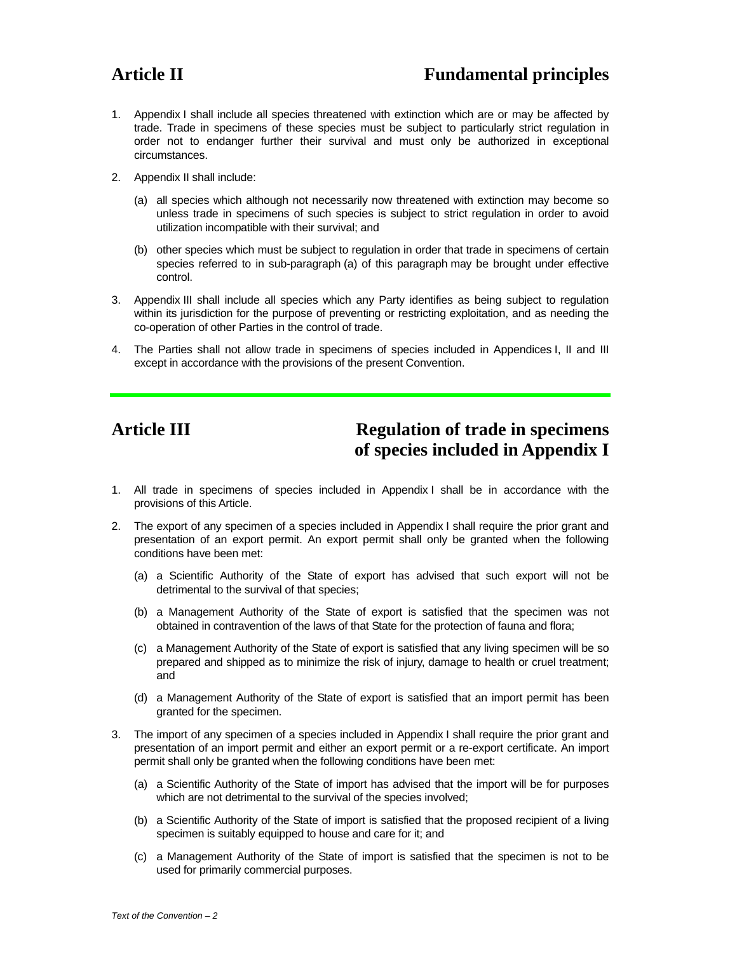### **Article II** Fundamental principles

- 1. Appendix I shall include all species threatened with extinction which are or may be affected by trade. Trade in specimens of these species must be subject to particularly strict regulation in order not to endanger further their survival and must only be authorized in exceptional circumstances.
- 2. Appendix II shall include:
	- (a) all species which although not necessarily now threatened with extinction may become so unless trade in specimens of such species is subject to strict regulation in order to avoid utilization incompatible with their survival; and
	- (b) other species which must be subject to regulation in order that trade in specimens of certain species referred to in sub-paragraph (a) of this paragraph may be brought under effective control.
- 3. Appendix III shall include all species which any Party identifies as being subject to regulation within its jurisdiction for the purpose of preventing or restricting exploitation, and as needing the co-operation of other Parties in the control of trade.
- 4. The Parties shall not allow trade in specimens of species included in Appendices I, II and III except in accordance with the provisions of the present Convention.

### **Article III Regulation of trade in specimens of species included in Appendix I**

- 1. All trade in specimens of species included in Appendix I shall be in accordance with the provisions of this Article.
- 2. The export of any specimen of a species included in Appendix I shall require the prior grant and presentation of an export permit. An export permit shall only be granted when the following conditions have been met:
	- (a) a Scientific Authority of the State of export has advised that such export will not be detrimental to the survival of that species;
	- (b) a Management Authority of the State of export is satisfied that the specimen was not obtained in contravention of the laws of that State for the protection of fauna and flora;
	- (c) a Management Authority of the State of export is satisfied that any living specimen will be so prepared and shipped as to minimize the risk of injury, damage to health or cruel treatment; and
	- (d) a Management Authority of the State of export is satisfied that an import permit has been granted for the specimen.
- 3. The import of any specimen of a species included in Appendix I shall require the prior grant and presentation of an import permit and either an export permit or a re-export certificate. An import permit shall only be granted when the following conditions have been met:
	- (a) a Scientific Authority of the State of import has advised that the import will be for purposes which are not detrimental to the survival of the species involved;
	- (b) a Scientific Authority of the State of import is satisfied that the proposed recipient of a living specimen is suitably equipped to house and care for it; and
	- (c) a Management Authority of the State of import is satisfied that the specimen is not to be used for primarily commercial purposes.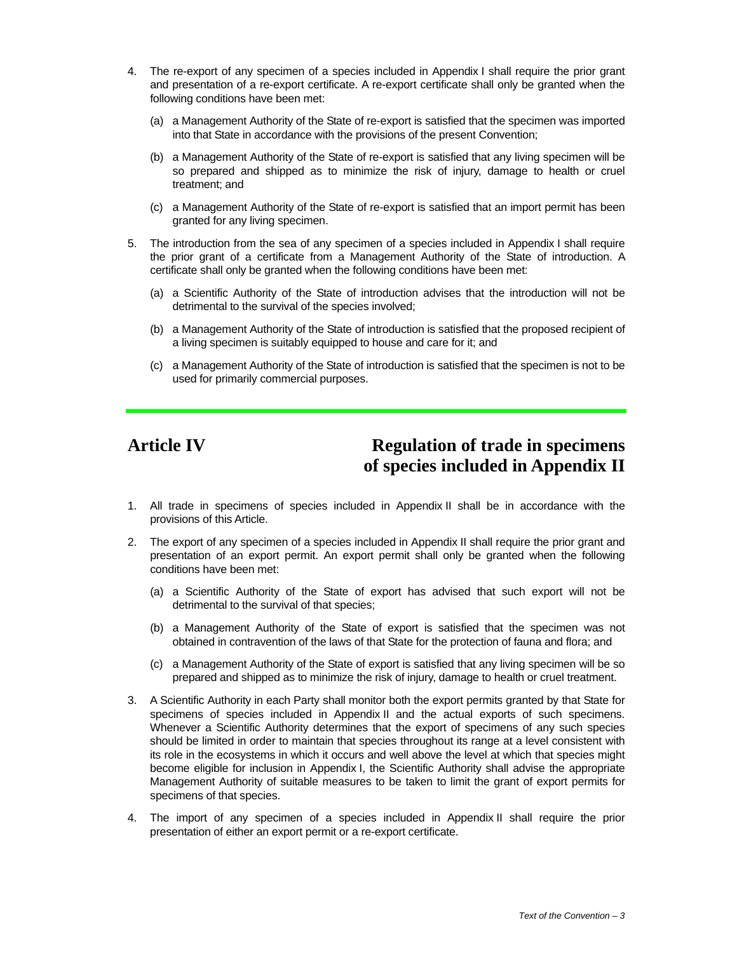- 4. The re-export of any specimen of a species included in Appendix I shall require the prior grant and presentation of a re-export certificate. A re-export certificate shall only be granted when the following conditions have been met:
	- (a) a Management Authority of the State of re-export is satisfied that the specimen was imported into that State in accordance with the provisions of the present Convention;
	- (b) a Management Authority of the State of re-export is satisfied that any living specimen will be so prepared and shipped as to minimize the risk of injury, damage to health or cruel treatment; and
	- (c) a Management Authority of the State of re-export is satisfied that an import permit has been granted for any living specimen.
- 5. The introduction from the sea of any specimen of a species included in Appendix I shall require the prior grant of a certificate from a Management Authority of the State of introduction. A certificate shall only be granted when the following conditions have been met:
	- (a) a Scientific Authority of the State of introduction advises that the introduction will not be detrimental to the survival of the species involved;
	- (b) a Management Authority of the State of introduction is satisfied that the proposed recipient of a living specimen is suitably equipped to house and care for it; and
	- (c) a Management Authority of the State of introduction is satisfied that the specimen is not to be used for primarily commercial purposes.

### Article IV Regulation of trade in specimens  **of species included in Appendix II**

- 1. All trade in specimens of species included in Appendix II shall be in accordance with the provisions of this Article.
- 2. The export of any specimen of a species included in Appendix II shall require the prior grant and presentation of an export permit. An export permit shall only be granted when the following conditions have been met:
	- (a) a Scientific Authority of the State of export has advised that such export will not be detrimental to the survival of that species;
	- (b) a Management Authority of the State of export is satisfied that the specimen was not obtained in contravention of the laws of that State for the protection of fauna and flora; and
	- (c) a Management Authority of the State of export is satisfied that any living specimen will be so prepared and shipped as to minimize the risk of injury, damage to health or cruel treatment.
- 3. A Scientific Authority in each Party shall monitor both the export permits granted by that State for specimens of species included in Appendix II and the actual exports of such specimens. Whenever a Scientific Authority determines that the export of specimens of any such species should be limited in order to maintain that species throughout its range at a level consistent with its role in the ecosystems in which it occurs and well above the level at which that species might become eligible for inclusion in Appendix I, the Scientific Authority shall advise the appropriate Management Authority of suitable measures to be taken to limit the grant of export permits for specimens of that species.
- 4. The import of any specimen of a species included in Appendix II shall require the prior presentation of either an export permit or a re-export certificate.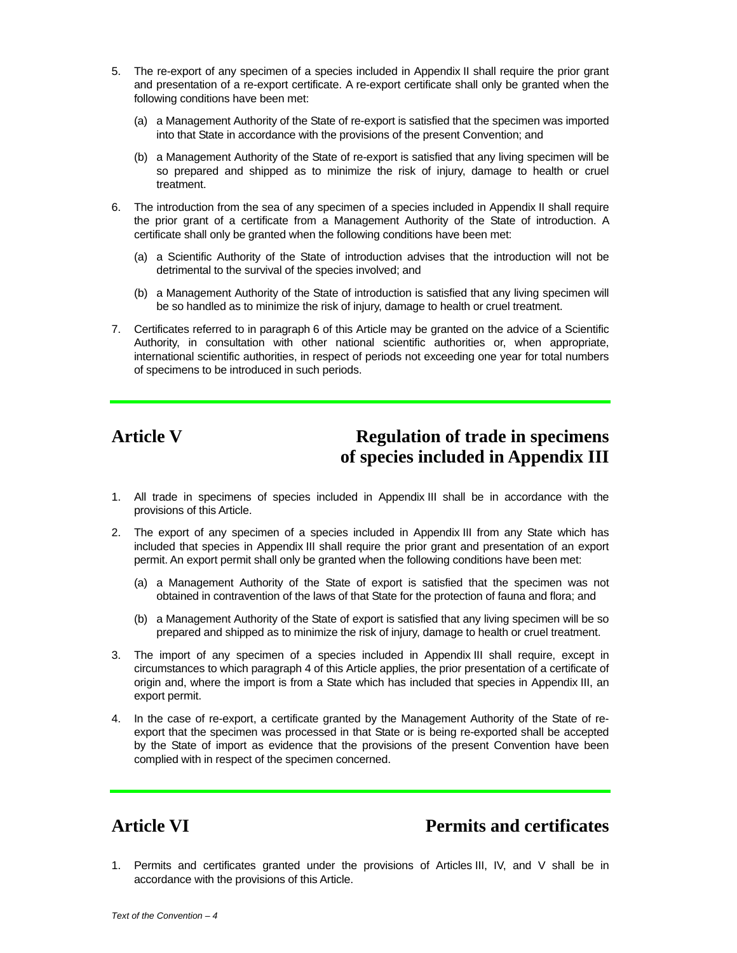- 5. The re-export of any specimen of a species included in Appendix II shall require the prior grant and presentation of a re-export certificate. A re-export certificate shall only be granted when the following conditions have been met:
	- (a) a Management Authority of the State of re-export is satisfied that the specimen was imported into that State in accordance with the provisions of the present Convention; and
	- (b) a Management Authority of the State of re-export is satisfied that any living specimen will be so prepared and shipped as to minimize the risk of injury, damage to health or cruel treatment.
- 6. The introduction from the sea of any specimen of a species included in Appendix II shall require the prior grant of a certificate from a Management Authority of the State of introduction. A certificate shall only be granted when the following conditions have been met:
	- (a) a Scientific Authority of the State of introduction advises that the introduction will not be detrimental to the survival of the species involved; and
	- (b) a Management Authority of the State of introduction is satisfied that any living specimen will be so handled as to minimize the risk of injury, damage to health or cruel treatment.
- 7. Certificates referred to in paragraph 6 of this Article may be granted on the advice of a Scientific Authority, in consultation with other national scientific authorities or, when appropriate, international scientific authorities, in respect of periods not exceeding one year for total numbers of specimens to be introduced in such periods.

# Article V Regulation of trade in specimens  **of species included in Appendix III**

- 1. All trade in specimens of species included in Appendix III shall be in accordance with the provisions of this Article.
- 2. The export of any specimen of a species included in Appendix III from any State which has included that species in Appendix III shall require the prior grant and presentation of an export permit. An export permit shall only be granted when the following conditions have been met:
	- (a) a Management Authority of the State of export is satisfied that the specimen was not obtained in contravention of the laws of that State for the protection of fauna and flora; and
	- (b) a Management Authority of the State of export is satisfied that any living specimen will be so prepared and shipped as to minimize the risk of injury, damage to health or cruel treatment.
- 3. The import of any specimen of a species included in Appendix III shall require, except in circumstances to which paragraph 4 of this Article applies, the prior presentation of a certificate of origin and, where the import is from a State which has included that species in Appendix III, an export permit.
- 4. In the case of re-export, a certificate granted by the Management Authority of the State of reexport that the specimen was processed in that State or is being re-exported shall be accepted by the State of import as evidence that the provisions of the present Convention have been complied with in respect of the specimen concerned.

### **Article VI Permits and certificates**

1. Permits and certificates granted under the provisions of Articles III, IV, and V shall be in accordance with the provisions of this Article.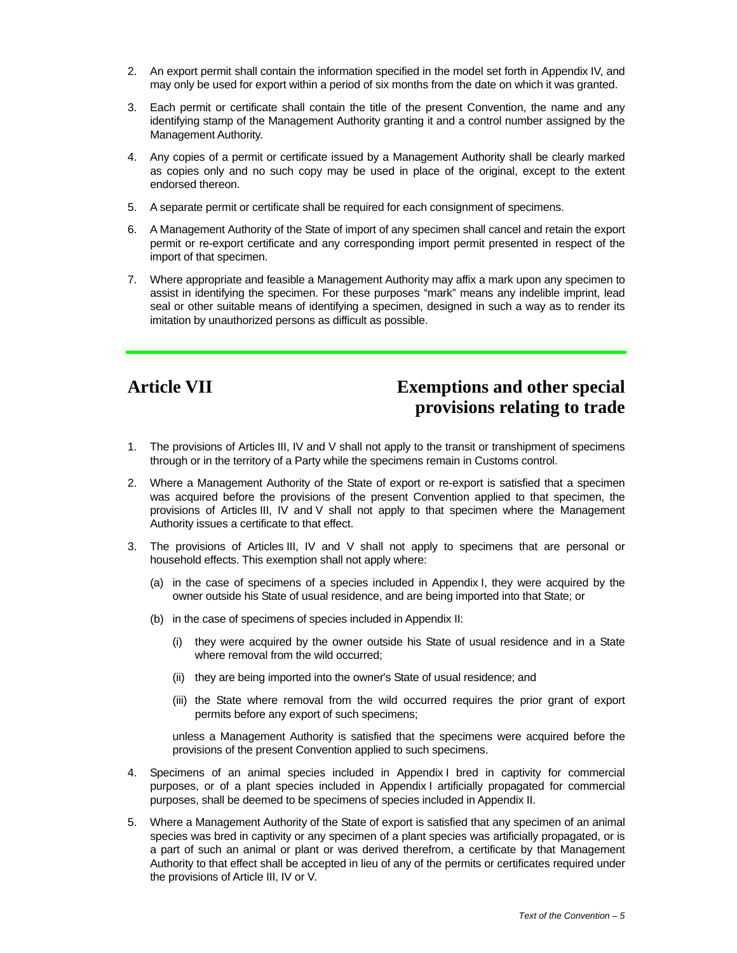- 2. An export permit shall contain the information specified in the model set forth in Appendix IV, and may only be used for export within a period of six months from the date on which it was granted.
- 3. Each permit or certificate shall contain the title of the present Convention, the name and any identifying stamp of the Management Authority granting it and a control number assigned by the Management Authority.
- 4. Any copies of a permit or certificate issued by a Management Authority shall be clearly marked as copies only and no such copy may be used in place of the original, except to the extent endorsed thereon.
- 5. A separate permit or certificate shall be required for each consignment of specimens.
- 6. A Management Authority of the State of import of any specimen shall cancel and retain the export permit or re-export certificate and any corresponding import permit presented in respect of the import of that specimen.
- 7. Where appropriate and feasible a Management Authority may affix a mark upon any specimen to assist in identifying the specimen. For these purposes "mark" means any indelible imprint, lead seal or other suitable means of identifying a specimen, designed in such a way as to render its imitation by unauthorized persons as difficult as possible.

### **Article VII Exemptions and other special provisions relating to trade**

- 1. The provisions of Articles III, IV and V shall not apply to the transit or transhipment of specimens through or in the territory of a Party while the specimens remain in Customs control.
- 2. Where a Management Authority of the State of export or re-export is satisfied that a specimen was acquired before the provisions of the present Convention applied to that specimen, the provisions of Articles III, IV and V shall not apply to that specimen where the Management Authority issues a certificate to that effect.
- 3. The provisions of Articles III, IV and V shall not apply to specimens that are personal or household effects. This exemption shall not apply where:
	- (a) in the case of specimens of a species included in Appendix I, they were acquired by the owner outside his State of usual residence, and are being imported into that State; or
	- (b) in the case of specimens of species included in Appendix II:
		- (i) they were acquired by the owner outside his State of usual residence and in a State where removal from the wild occurred;
		- (ii) they are being imported into the owner's State of usual residence; and
		- (iii) the State where removal from the wild occurred requires the prior grant of export permits before any export of such specimens;

 unless a Management Authority is satisfied that the specimens were acquired before the provisions of the present Convention applied to such specimens.

- 4. Specimens of an animal species included in Appendix I bred in captivity for commercial purposes, or of a plant species included in Appendix I artificially propagated for commercial purposes, shall be deemed to be specimens of species included in Appendix II.
- 5. Where a Management Authority of the State of export is satisfied that any specimen of an animal species was bred in captivity or any specimen of a plant species was artificially propagated, or is a part of such an animal or plant or was derived therefrom, a certificate by that Management Authority to that effect shall be accepted in lieu of any of the permits or certificates required under the provisions of Article III, IV or V.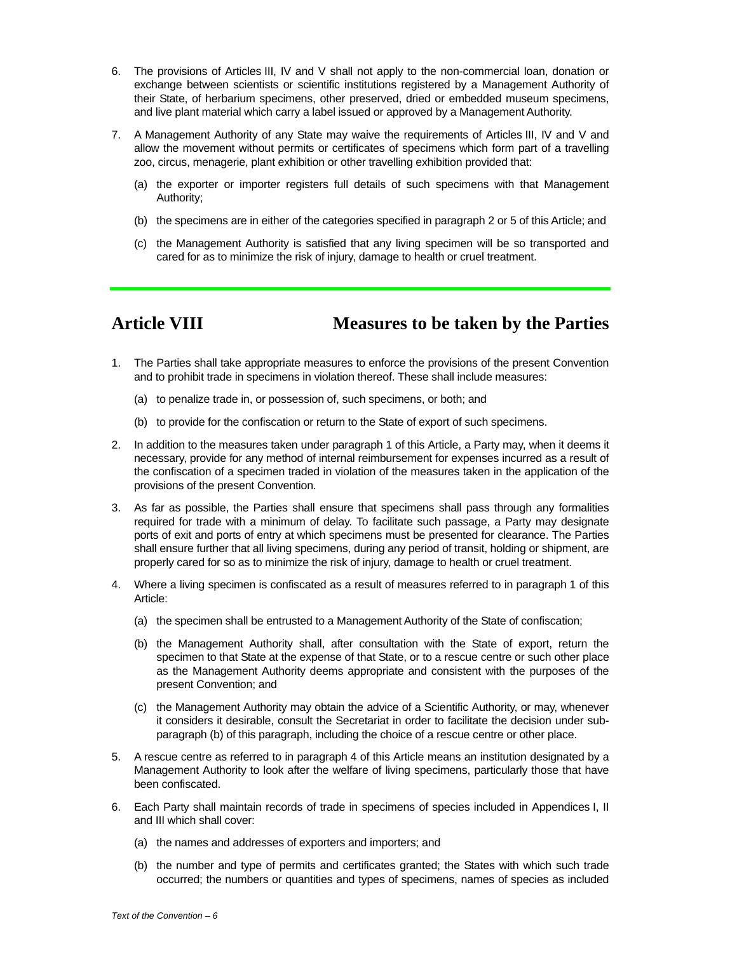- 6. The provisions of Articles III, IV and V shall not apply to the non-commercial loan, donation or exchange between scientists or scientific institutions registered by a Management Authority of their State, of herbarium specimens, other preserved, dried or embedded museum specimens, and live plant material which carry a label issued or approved by a Management Authority.
- 7. A Management Authority of any State may waive the requirements of Articles III, IV and V and allow the movement without permits or certificates of specimens which form part of a travelling zoo, circus, menagerie, plant exhibition or other travelling exhibition provided that:
	- (a) the exporter or importer registers full details of such specimens with that Management Authority;
	- (b) the specimens are in either of the categories specified in paragraph 2 or 5 of this Article; and
	- (c) the Management Authority is satisfied that any living specimen will be so transported and cared for as to minimize the risk of injury, damage to health or cruel treatment.

### **Article VIII Measures to be taken by the Parties**

- 1. The Parties shall take appropriate measures to enforce the provisions of the present Convention and to prohibit trade in specimens in violation thereof. These shall include measures:
	- (a) to penalize trade in, or possession of, such specimens, or both; and
	- (b) to provide for the confiscation or return to the State of export of such specimens.
- 2. In addition to the measures taken under paragraph 1 of this Article, a Party may, when it deems it necessary, provide for any method of internal reimbursement for expenses incurred as a result of the confiscation of a specimen traded in violation of the measures taken in the application of the provisions of the present Convention.
- 3. As far as possible, the Parties shall ensure that specimens shall pass through any formalities required for trade with a minimum of delay. To facilitate such passage, a Party may designate ports of exit and ports of entry at which specimens must be presented for clearance. The Parties shall ensure further that all living specimens, during any period of transit, holding or shipment, are properly cared for so as to minimize the risk of injury, damage to health or cruel treatment.
- 4. Where a living specimen is confiscated as a result of measures referred to in paragraph 1 of this Article:
	- (a) the specimen shall be entrusted to a Management Authority of the State of confiscation;
	- (b) the Management Authority shall, after consultation with the State of export, return the specimen to that State at the expense of that State, or to a rescue centre or such other place as the Management Authority deems appropriate and consistent with the purposes of the present Convention; and
	- (c) the Management Authority may obtain the advice of a Scientific Authority, or may, whenever it considers it desirable, consult the Secretariat in order to facilitate the decision under subparagraph (b) of this paragraph, including the choice of a rescue centre or other place.
- 5. A rescue centre as referred to in paragraph 4 of this Article means an institution designated by a Management Authority to look after the welfare of living specimens, particularly those that have been confiscated.
- 6. Each Party shall maintain records of trade in specimens of species included in Appendices I, II and III which shall cover:
	- (a) the names and addresses of exporters and importers; and
	- (b) the number and type of permits and certificates granted; the States with which such trade occurred; the numbers or quantities and types of specimens, names of species as included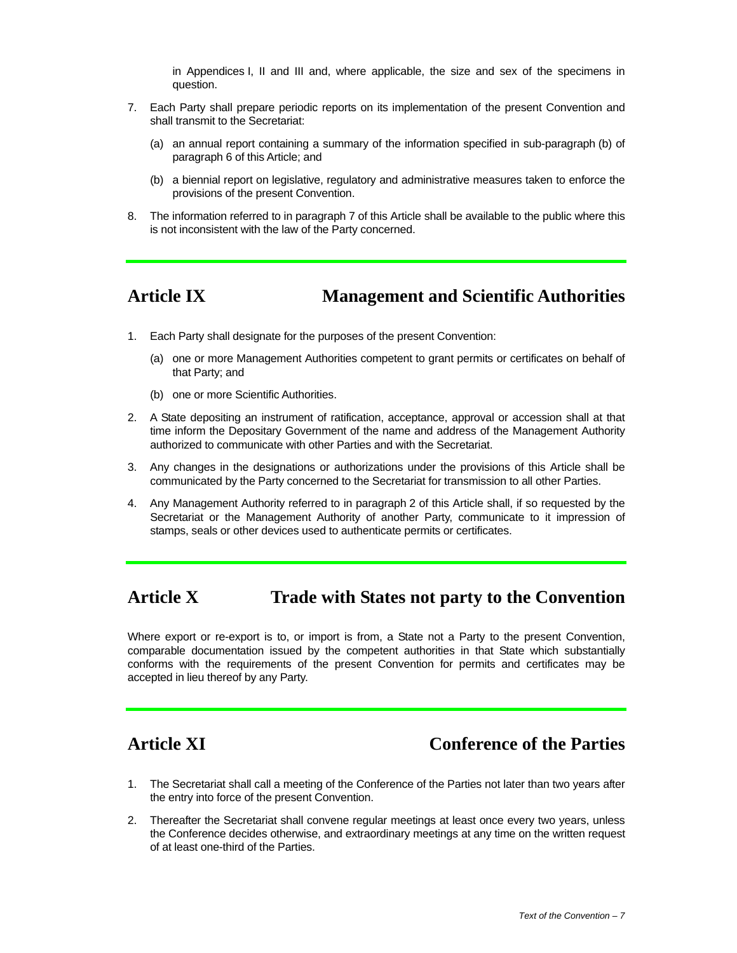in Appendices I, II and III and, where applicable, the size and sex of the specimens in question.

- 7. Each Party shall prepare periodic reports on its implementation of the present Convention and shall transmit to the Secretariat:
	- (a) an annual report containing a summary of the information specified in sub-paragraph (b) of paragraph 6 of this Article; and
	- (b) a biennial report on legislative, regulatory and administrative measures taken to enforce the provisions of the present Convention.
- 8. The information referred to in paragraph 7 of this Article shall be available to the public where this is not inconsistent with the law of the Party concerned.

# **Article IX Management and Scientific Authorities**

- 1. Each Party shall designate for the purposes of the present Convention:
	- (a) one or more Management Authorities competent to grant permits or certificates on behalf of that Party; and
	- (b) one or more Scientific Authorities.
- 2. A State depositing an instrument of ratification, acceptance, approval or accession shall at that time inform the Depositary Government of the name and address of the Management Authority authorized to communicate with other Parties and with the Secretariat.
- 3. Any changes in the designations or authorizations under the provisions of this Article shall be communicated by the Party concerned to the Secretariat for transmission to all other Parties.
- 4. Any Management Authority referred to in paragraph 2 of this Article shall, if so requested by the Secretariat or the Management Authority of another Party, communicate to it impression of stamps, seals or other devices used to authenticate permits or certificates.

### **Article X Trade with States not party to the Convention**

Where export or re-export is to, or import is from, a State not a Party to the present Convention, comparable documentation issued by the competent authorities in that State which substantially conforms with the requirements of the present Convention for permits and certificates may be accepted in lieu thereof by any Party.

### **Article XI Conference of the Parties**

- 1. The Secretariat shall call a meeting of the Conference of the Parties not later than two years after the entry into force of the present Convention.
- 2. Thereafter the Secretariat shall convene regular meetings at least once every two years, unless the Conference decides otherwise, and extraordinary meetings at any time on the written request of at least one-third of the Parties.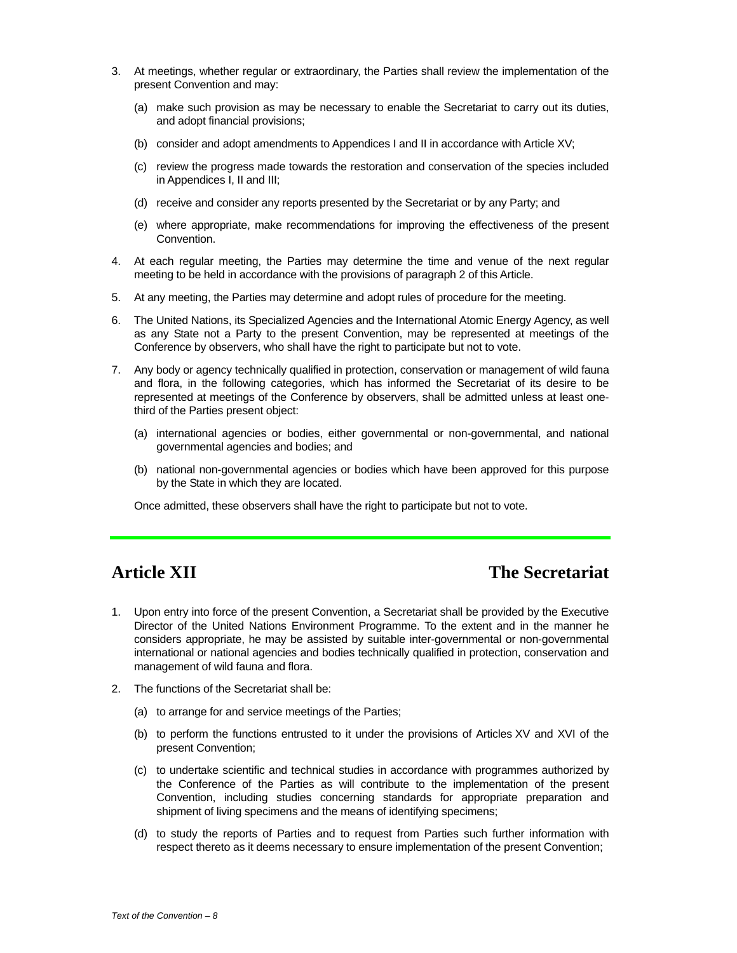- 3. At meetings, whether regular or extraordinary, the Parties shall review the implementation of the present Convention and may:
	- (a) make such provision as may be necessary to enable the Secretariat to carry out its duties, and adopt financial provisions;
	- (b) consider and adopt amendments to Appendices I and II in accordance with Article XV;
	- (c) review the progress made towards the restoration and conservation of the species included in Appendices I, II and III;
	- (d) receive and consider any reports presented by the Secretariat or by any Party; and
	- (e) where appropriate, make recommendations for improving the effectiveness of the present Convention.
- 4. At each regular meeting, the Parties may determine the time and venue of the next regular meeting to be held in accordance with the provisions of paragraph 2 of this Article.
- 5. At any meeting, the Parties may determine and adopt rules of procedure for the meeting.
- 6. The United Nations, its Specialized Agencies and the International Atomic Energy Agency, as well as any State not a Party to the present Convention, may be represented at meetings of the Conference by observers, who shall have the right to participate but not to vote.
- 7. Any body or agency technically qualified in protection, conservation or management of wild fauna and flora, in the following categories, which has informed the Secretariat of its desire to be represented at meetings of the Conference by observers, shall be admitted unless at least onethird of the Parties present object:
	- (a) international agencies or bodies, either governmental or non-governmental, and national governmental agencies and bodies; and
	- (b) national non-governmental agencies or bodies which have been approved for this purpose by the State in which they are located.

Once admitted, these observers shall have the right to participate but not to vote.

### **Article XII** The Secretariat

- 1. Upon entry into force of the present Convention, a Secretariat shall be provided by the Executive Director of the United Nations Environment Programme. To the extent and in the manner he considers appropriate, he may be assisted by suitable inter-governmental or non-governmental international or national agencies and bodies technically qualified in protection, conservation and management of wild fauna and flora.
- 2. The functions of the Secretariat shall be:
	- (a) to arrange for and service meetings of the Parties;
	- (b) to perform the functions entrusted to it under the provisions of Articles XV and XVI of the present Convention;
	- (c) to undertake scientific and technical studies in accordance with programmes authorized by the Conference of the Parties as will contribute to the implementation of the present Convention, including studies concerning standards for appropriate preparation and shipment of living specimens and the means of identifying specimens;
	- (d) to study the reports of Parties and to request from Parties such further information with respect thereto as it deems necessary to ensure implementation of the present Convention;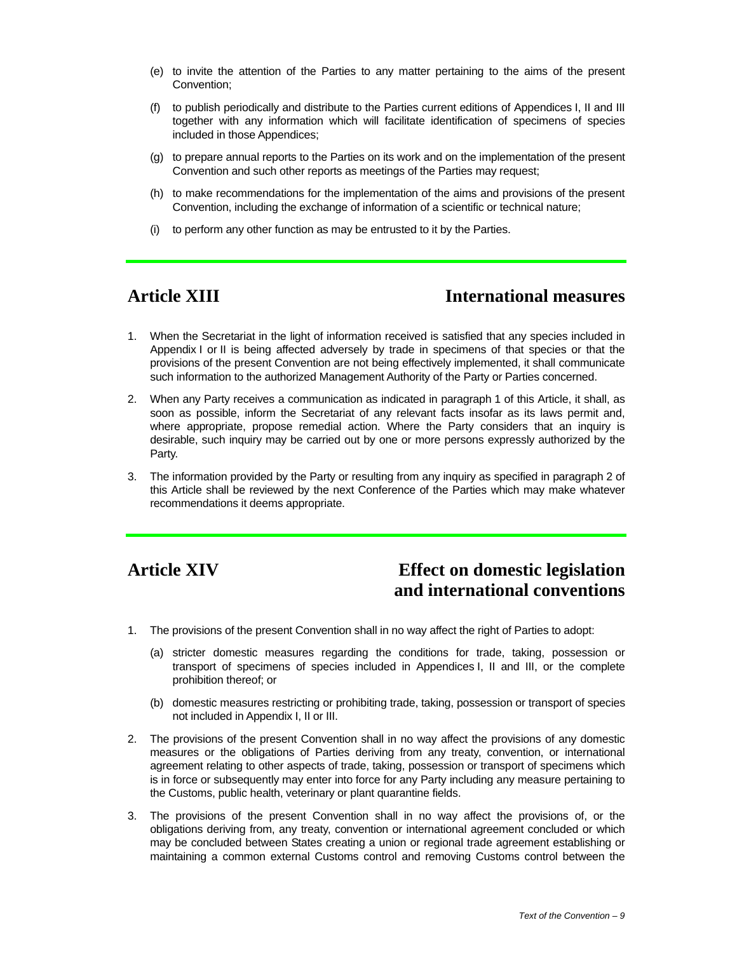- (e) to invite the attention of the Parties to any matter pertaining to the aims of the present Convention;
- (f) to publish periodically and distribute to the Parties current editions of Appendices I, II and III together with any information which will facilitate identification of specimens of species included in those Appendices;
- (g) to prepare annual reports to the Parties on its work and on the implementation of the present Convention and such other reports as meetings of the Parties may request;
- (h) to make recommendations for the implementation of the aims and provisions of the present Convention, including the exchange of information of a scientific or technical nature;
- (i) to perform any other function as may be entrusted to it by the Parties.

### **Article XIII 1996 1997 11: 12:33 International measures**

- 1. When the Secretariat in the light of information received is satisfied that any species included in Appendix I or II is being affected adversely by trade in specimens of that species or that the provisions of the present Convention are not being effectively implemented, it shall communicate such information to the authorized Management Authority of the Party or Parties concerned.
- 2. When any Party receives a communication as indicated in paragraph 1 of this Article, it shall, as soon as possible, inform the Secretariat of any relevant facts insofar as its laws permit and, where appropriate, propose remedial action. Where the Party considers that an inquiry is desirable, such inquiry may be carried out by one or more persons expressly authorized by the Party.
- 3. The information provided by the Party or resulting from any inquiry as specified in paragraph 2 of this Article shall be reviewed by the next Conference of the Parties which may make whatever recommendations it deems appropriate.

### **Article XIV Effect on domestic legislation and international conventions**

- 1. The provisions of the present Convention shall in no way affect the right of Parties to adopt:
	- (a) stricter domestic measures regarding the conditions for trade, taking, possession or transport of specimens of species included in Appendices I, II and III, or the complete prohibition thereof; or
	- (b) domestic measures restricting or prohibiting trade, taking, possession or transport of species not included in Appendix I, II or III.
- 2. The provisions of the present Convention shall in no way affect the provisions of any domestic measures or the obligations of Parties deriving from any treaty, convention, or international agreement relating to other aspects of trade, taking, possession or transport of specimens which is in force or subsequently may enter into force for any Party including any measure pertaining to the Customs, public health, veterinary or plant quarantine fields.
- 3. The provisions of the present Convention shall in no way affect the provisions of, or the obligations deriving from, any treaty, convention or international agreement concluded or which may be concluded between States creating a union or regional trade agreement establishing or maintaining a common external Customs control and removing Customs control between the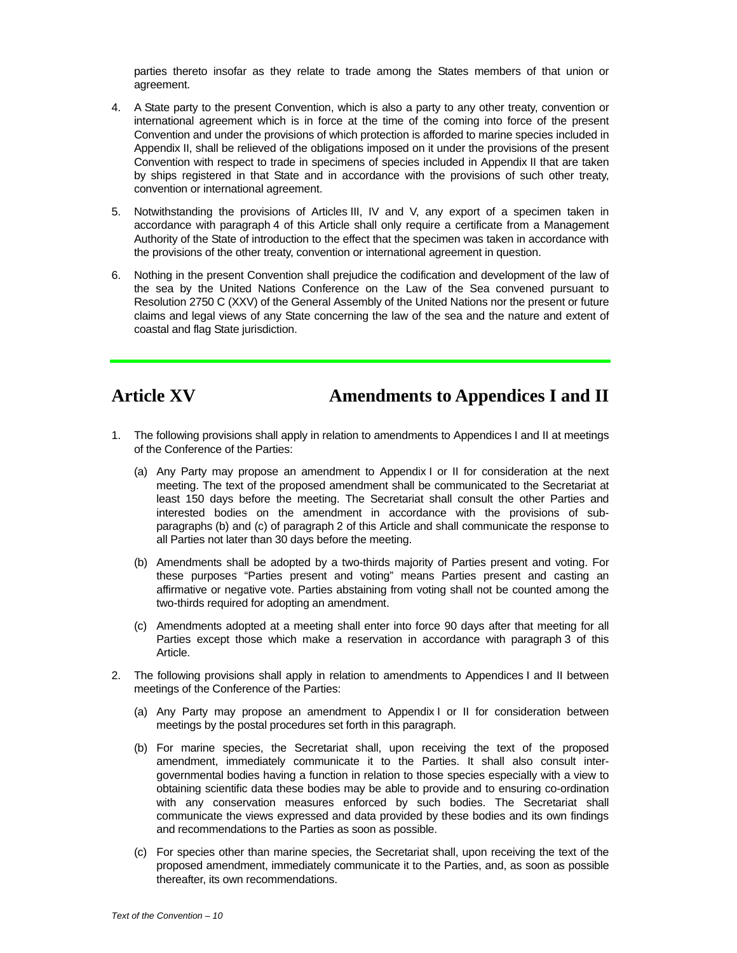parties thereto insofar as they relate to trade among the States members of that union or agreement.

- 4. A State party to the present Convention, which is also a party to any other treaty, convention or international agreement which is in force at the time of the coming into force of the present Convention and under the provisions of which protection is afforded to marine species included in Appendix II, shall be relieved of the obligations imposed on it under the provisions of the present Convention with respect to trade in specimens of species included in Appendix II that are taken by ships registered in that State and in accordance with the provisions of such other treaty, convention or international agreement.
- 5. Notwithstanding the provisions of Articles III, IV and V, any export of a specimen taken in accordance with paragraph 4 of this Article shall only require a certificate from a Management Authority of the State of introduction to the effect that the specimen was taken in accordance with the provisions of the other treaty, convention or international agreement in question.
- 6. Nothing in the present Convention shall prejudice the codification and development of the law of the sea by the United Nations Conference on the Law of the Sea convened pursuant to Resolution 2750 C (XXV) of the General Assembly of the United Nations nor the present or future claims and legal views of any State concerning the law of the sea and the nature and extent of coastal and flag State jurisdiction.

### **Article XV Amendments to Appendices I and II**

- 1. The following provisions shall apply in relation to amendments to Appendices I and II at meetings of the Conference of the Parties:
	- (a) Any Party may propose an amendment to Appendix I or II for consideration at the next meeting. The text of the proposed amendment shall be communicated to the Secretariat at least 150 days before the meeting. The Secretariat shall consult the other Parties and interested bodies on the amendment in accordance with the provisions of subparagraphs (b) and (c) of paragraph 2 of this Article and shall communicate the response to all Parties not later than 30 days before the meeting.
	- (b) Amendments shall be adopted by a two-thirds majority of Parties present and voting. For these purposes "Parties present and voting" means Parties present and casting an affirmative or negative vote. Parties abstaining from voting shall not be counted among the two-thirds required for adopting an amendment.
	- (c) Amendments adopted at a meeting shall enter into force 90 days after that meeting for all Parties except those which make a reservation in accordance with paragraph 3 of this Article.
- 2. The following provisions shall apply in relation to amendments to Appendices I and II between meetings of the Conference of the Parties:
	- (a) Any Party may propose an amendment to Appendix I or II for consideration between meetings by the postal procedures set forth in this paragraph.
	- (b) For marine species, the Secretariat shall, upon receiving the text of the proposed amendment, immediately communicate it to the Parties. It shall also consult intergovernmental bodies having a function in relation to those species especially with a view to obtaining scientific data these bodies may be able to provide and to ensuring co-ordination with any conservation measures enforced by such bodies. The Secretariat shall communicate the views expressed and data provided by these bodies and its own findings and recommendations to the Parties as soon as possible.
	- (c) For species other than marine species, the Secretariat shall, upon receiving the text of the proposed amendment, immediately communicate it to the Parties, and, as soon as possible thereafter, its own recommendations.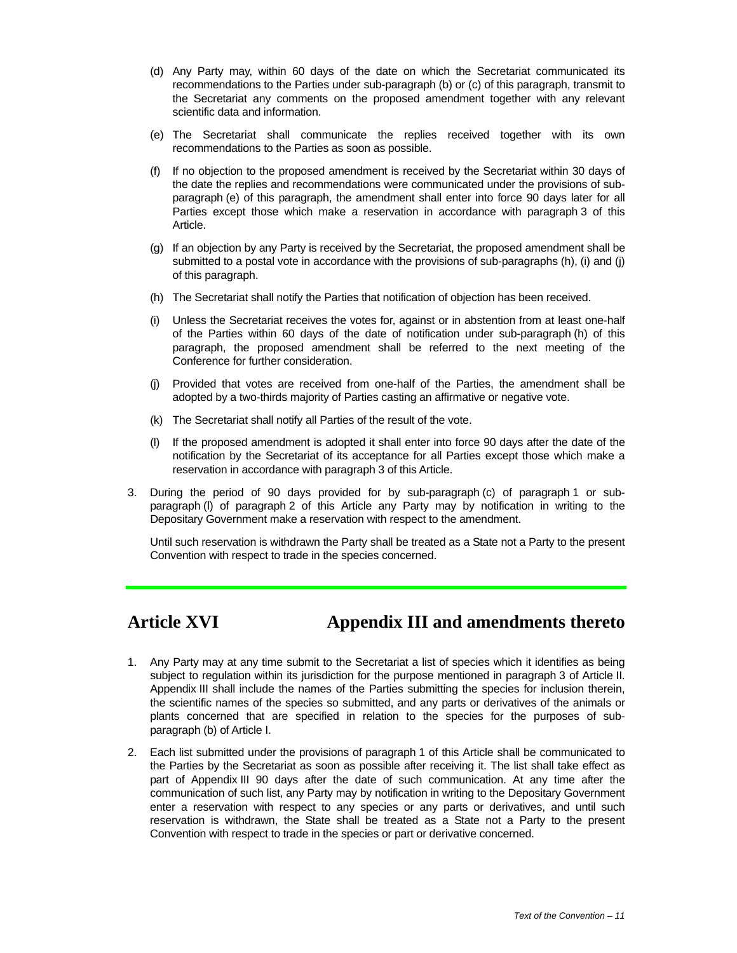- (d) Any Party may, within 60 days of the date on which the Secretariat communicated its recommendations to the Parties under sub-paragraph (b) or (c) of this paragraph, transmit to the Secretariat any comments on the proposed amendment together with any relevant scientific data and information.
- (e) The Secretariat shall communicate the replies received together with its own recommendations to the Parties as soon as possible.
- (f) If no objection to the proposed amendment is received by the Secretariat within 30 days of the date the replies and recommendations were communicated under the provisions of subparagraph (e) of this paragraph, the amendment shall enter into force 90 days later for all Parties except those which make a reservation in accordance with paragraph 3 of this Article.
- (g) If an objection by any Party is received by the Secretariat, the proposed amendment shall be submitted to a postal vote in accordance with the provisions of sub-paragraphs (h), (i) and (j) of this paragraph.
- (h) The Secretariat shall notify the Parties that notification of objection has been received.
- (i) Unless the Secretariat receives the votes for, against or in abstention from at least one-half of the Parties within 60 days of the date of notification under sub-paragraph (h) of this paragraph, the proposed amendment shall be referred to the next meeting of the Conference for further consideration.
- (j) Provided that votes are received from one-half of the Parties, the amendment shall be adopted by a two-thirds majority of Parties casting an affirmative or negative vote.
- (k) The Secretariat shall notify all Parties of the result of the vote.
- (l) If the proposed amendment is adopted it shall enter into force 90 days after the date of the notification by the Secretariat of its acceptance for all Parties except those which make a reservation in accordance with paragraph 3 of this Article.
- 3. During the period of 90 days provided for by sub-paragraph (c) of paragraph 1 or subparagraph (l) of paragraph 2 of this Article any Party may by notification in writing to the Depositary Government make a reservation with respect to the amendment.

 Until such reservation is withdrawn the Party shall be treated as a State not a Party to the present Convention with respect to trade in the species concerned.

### **Article XVI Appendix III and amendments thereto**

- 1. Any Party may at any time submit to the Secretariat a list of species which it identifies as being subject to regulation within its jurisdiction for the purpose mentioned in paragraph 3 of Article II. Appendix III shall include the names of the Parties submitting the species for inclusion therein, the scientific names of the species so submitted, and any parts or derivatives of the animals or plants concerned that are specified in relation to the species for the purposes of subparagraph (b) of Article I.
- 2. Each list submitted under the provisions of paragraph 1 of this Article shall be communicated to the Parties by the Secretariat as soon as possible after receiving it. The list shall take effect as part of Appendix III 90 days after the date of such communication. At any time after the communication of such list, any Party may by notification in writing to the Depositary Government enter a reservation with respect to any species or any parts or derivatives, and until such reservation is withdrawn, the State shall be treated as a State not a Party to the present Convention with respect to trade in the species or part or derivative concerned.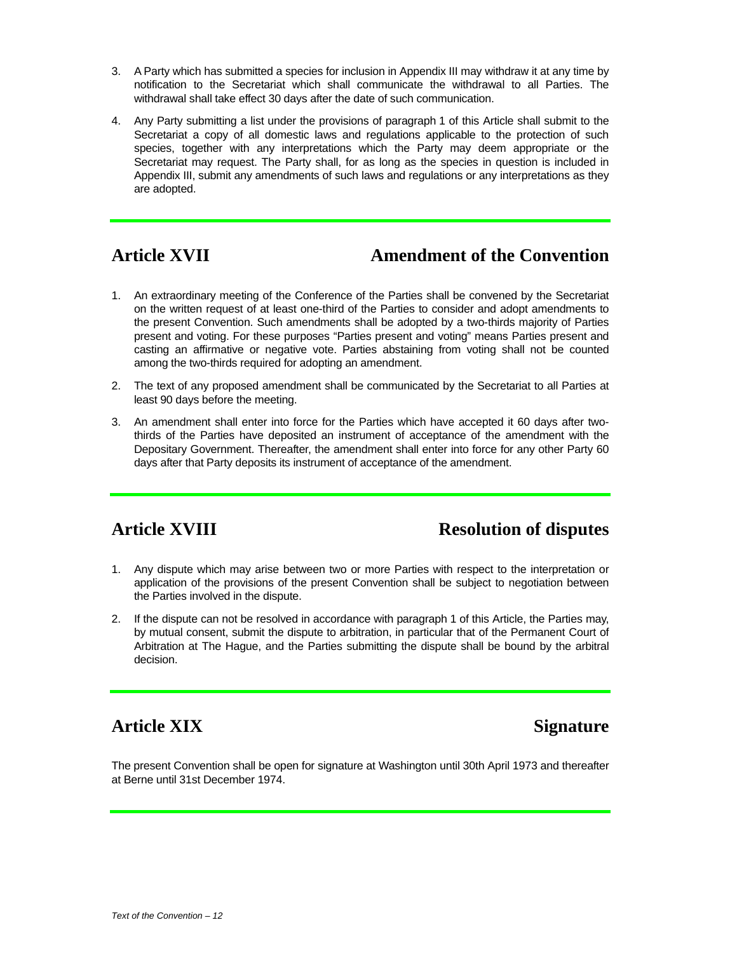- 3. A Party which has submitted a species for inclusion in Appendix III may withdraw it at any time by notification to the Secretariat which shall communicate the withdrawal to all Parties. The withdrawal shall take effect 30 days after the date of such communication.
- 4. Any Party submitting a list under the provisions of paragraph 1 of this Article shall submit to the Secretariat a copy of all domestic laws and regulations applicable to the protection of such species, together with any interpretations which the Party may deem appropriate or the Secretariat may request. The Party shall, for as long as the species in question is included in Appendix III, submit any amendments of such laws and regulations or any interpretations as they are adopted.

### Article XVII **Amendment of the Convention**

- 1. An extraordinary meeting of the Conference of the Parties shall be convened by the Secretariat on the written request of at least one-third of the Parties to consider and adopt amendments to the present Convention. Such amendments shall be adopted by a two-thirds majority of Parties present and voting. For these purposes "Parties present and voting" means Parties present and casting an affirmative or negative vote. Parties abstaining from voting shall not be counted among the two-thirds required for adopting an amendment.
- 2. The text of any proposed amendment shall be communicated by the Secretariat to all Parties at least 90 days before the meeting.
- 3. An amendment shall enter into force for the Parties which have accepted it 60 days after twothirds of the Parties have deposited an instrument of acceptance of the amendment with the Depositary Government. Thereafter, the amendment shall enter into force for any other Party 60 days after that Party deposits its instrument of acceptance of the amendment.

### **Article XVIII Resolution of disputes**

- 1. Any dispute which may arise between two or more Parties with respect to the interpretation or application of the provisions of the present Convention shall be subject to negotiation between the Parties involved in the dispute.
- 2. If the dispute can not be resolved in accordance with paragraph 1 of this Article, the Parties may, by mutual consent, submit the dispute to arbitration, in particular that of the Permanent Court of Arbitration at The Hague, and the Parties submitting the dispute shall be bound by the arbitral decision.

### **Article XIX Signature**

The present Convention shall be open for signature at Washington until 30th April 1973 and thereafter at Berne until 31st December 1974.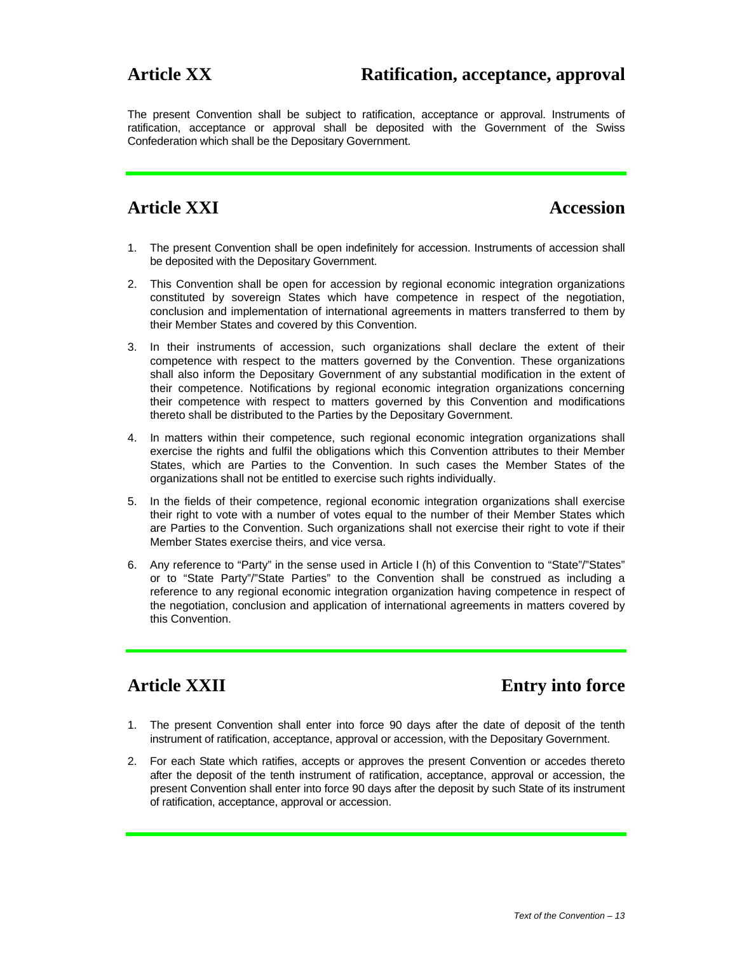The present Convention shall be subject to ratification, acceptance or approval. Instruments of ratification, acceptance or approval shall be deposited with the Government of the Swiss Confederation which shall be the Depositary Government.

### Article XXI **Accession**

- 1. The present Convention shall be open indefinitely for accession. Instruments of accession shall be deposited with the Depositary Government.
- 2. This Convention shall be open for accession by regional economic integration organizations constituted by sovereign States which have competence in respect of the negotiation, conclusion and implementation of international agreements in matters transferred to them by their Member States and covered by this Convention.
- 3. In their instruments of accession, such organizations shall declare the extent of their competence with respect to the matters governed by the Convention. These organizations shall also inform the Depositary Government of any substantial modification in the extent of their competence. Notifications by regional economic integration organizations concerning their competence with respect to matters governed by this Convention and modifications thereto shall be distributed to the Parties by the Depositary Government.
- 4. In matters within their competence, such regional economic integration organizations shall exercise the rights and fulfil the obligations which this Convention attributes to their Member States, which are Parties to the Convention. In such cases the Member States of the organizations shall not be entitled to exercise such rights individually.
- 5. In the fields of their competence, regional economic integration organizations shall exercise their right to vote with a number of votes equal to the number of their Member States which are Parties to the Convention. Such organizations shall not exercise their right to vote if their Member States exercise theirs, and vice versa.
- 6. Any reference to "Party" in the sense used in Article I (h) of this Convention to "State"/"States" or to "State Party"/"State Parties" to the Convention shall be construed as including a reference to any regional economic integration organization having competence in respect of the negotiation, conclusion and application of international agreements in matters covered by this Convention.

### **Article XXII** Entry into force

- 1. The present Convention shall enter into force 90 days after the date of deposit of the tenth instrument of ratification, acceptance, approval or accession, with the Depositary Government.
- 2. For each State which ratifies, accepts or approves the present Convention or accedes thereto after the deposit of the tenth instrument of ratification, acceptance, approval or accession, the present Convention shall enter into force 90 days after the deposit by such State of its instrument of ratification, acceptance, approval or accession.